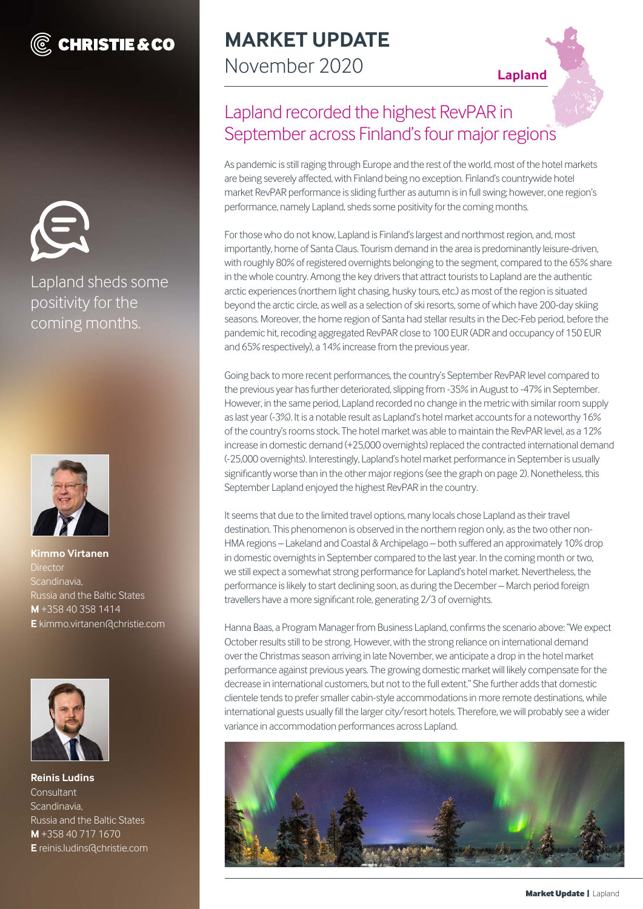# **C** CHRISTIE & CO



### Lapland sheds some positivity for the coming months.



**Kimmo Virtanen Director** Scandinavia, Russia and the Baltic States **M** +358 40 358 1414 **E** kimmo.virtanen@christie.com



**Reinis Ludins Consultant** Scandinavia, Russia and the Baltic States **M** +358 40 717 1670 **E** reinis.ludins@christie.com

# **MARKET UPDATE** November 2020 **Lapland**

# Lapland recorded the highest RevPAR in September across Finland's four major regions

As pandemic is still raging through Europe and the rest of the world, most of the hotel markets are being severely affected, with Finland being no exception. Finland's countrywide hotel market RevPAR performance is sliding further as autumn is in full swing; however, one region's performance, namely Lapland, sheds some positivity for the coming months.

For those who do not know, Lapland is Finland's largest and northmost region, and, most importantly, home of Santa Claus. Tourism demand in the area is predominantly leisure-driven, with roughly 80% of registered overnights belonging to the segment, compared to the 65% share in the whole country. Among the key drivers that attract tourists to Lapland are the authentic arctic experiences (northern light chasing, husky tours, etc.) as most of the region is situated beyond the arctic circle, as well as a selection of ski resorts, some of which have 200-day skiing seasons. Moreover, the home region of Santa had stellar results in the Dec-Feb period, before the pandemic hit, recoding aggregated RevPAR close to 100 EUR (ADR and occupancy of 150 EUR and 65% respectively), a 14% increase from the previous year.

Going back to more recent performances, the country's September RevPAR level compared to the previous year has further deteriorated, slipping from -35% in August to -47% in September. However, in the same period, Lapland recorded no change in the metric with similar room supply as last year (-3%). It is a notable result as Lapland's hotel market accounts for a noteworthy 16% of the country's rooms stock. The hotel market was able to maintain the RevPAR level, as a 12% increase in domestic demand (+25,000 overnights) replaced the contracted international demand (-25,000 overnights). Interestingly, Lapland's hotel market performance in September is usually significantly worse than in the other major regions (see the graph on page 2). Nonetheless, this September Lapland enjoyed the highest RevPAR in the country.

It seems that due to the limited travel options, many locals chose Lapland as their travel destination. This phenomenon is observed in the northern region only, as the two other non-HMA regions – Lakeland and Coastal & Archipelago – both suffered an approximately 10% drop in domestic overnights in September compared to the last year. In the coming month or two, we still expect a somewhat strong performance for Lapland's hotel market. Nevertheless, the performance is likely to start declining soon, as during the December – March period foreign travellers have a more significant role, generating 2/3 of overnights.

Hanna Baas, a Program Manager from Business Lapland, confirms the scenario above: "We expect October results still to be strong. However, with the strong reliance on international demand over the Christmas season arriving in late November, we anticipate a drop in the hotel market performance against previous years. The growing domestic market will likely compensate for the decrease in international customers, but not to the full extent." She further adds that domestic clientele tends to prefer smaller cabin-style accommodations in more remote destinations, while international guests usually fill the larger city/resort hotels. Therefore, we will probably see a wider variance in accommodation performances across Lapland.